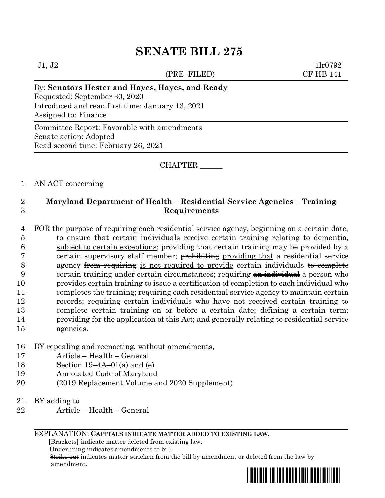# **SENATE BILL 275**

(PRE–FILED) CF HB 141

 $J1, J2$  1lr0792

# By: **Senators Hester and Hayes, Hayes, and Ready**

Requested: September 30, 2020 Introduced and read first time: January 13, 2021 Assigned to: Finance

Committee Report: Favorable with amendments Senate action: Adopted Read second time: February 26, 2021

CHAPTER \_\_\_\_\_\_

### 1 AN ACT concerning

## 2 **Maryland Department of Health – Residential Service Agencies – Training**  3 **Requirements**

4 FOR the purpose of requiring each residential service agency, beginning on a certain date,

 to ensure that certain individuals receive certain training relating to dementia, subject to certain exceptions; providing that certain training may be provided by a 7 certain supervisory staff member; prohibiting providing that a residential service 8 agency from requiring is not required to provide certain individuals  $\theta$  complete 9 certain training under certain circumstances; requiring  $\theta$  an individual a person who provides certain training to issue a certification of completion to each individual who completes the training; requiring each residential service agency to maintain certain records; requiring certain individuals who have not received certain training to complete certain training on or before a certain date; defining a certain term; providing for the application of this Act; and generally relating to residential service agencies.

- 16 BY repealing and reenacting, without amendments,
- 17 Article Health General
- 18 Section 19–4A–01(a) and (e)
- 19 Annotated Code of Maryland
- 20 (2019 Replacement Volume and 2020 Supplement)
- 21 BY adding to
- 22 Article Health General

#### EXPLANATION: **CAPITALS INDICATE MATTER ADDED TO EXISTING LAW**.

 **[**Brackets**]** indicate matter deleted from existing law.

Underlining indicates amendments to bill.

 Strike out indicates matter stricken from the bill by amendment or deleted from the law by amendment.

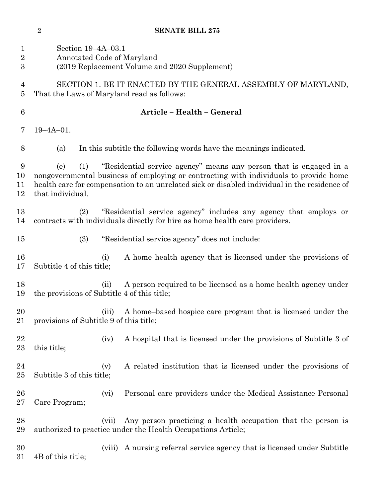| <b>SENATE BILL 275</b> |  |
|------------------------|--|
|                        |  |

| $\mathbf{1}$<br>$\overline{2}$<br>$\boldsymbol{3}$ | Section 19-4A-03.1<br>Annotated Code of Maryland<br>(2019 Replacement Volume and 2020 Supplement)                                                                                                                                                                                             |
|----------------------------------------------------|-----------------------------------------------------------------------------------------------------------------------------------------------------------------------------------------------------------------------------------------------------------------------------------------------|
| 4<br>5                                             | SECTION 1. BE IT ENACTED BY THE GENERAL ASSEMBLY OF MARYLAND,<br>That the Laws of Maryland read as follows:                                                                                                                                                                                   |
| $6\phantom{.}6$                                    | Article - Health - General                                                                                                                                                                                                                                                                    |
| 7                                                  | $19 - 4A - 01$ .                                                                                                                                                                                                                                                                              |
| 8                                                  | In this subtitle the following words have the meanings indicated.<br>(a)                                                                                                                                                                                                                      |
| 9<br>10<br>11<br>12                                | "Residential service agency" means any person that is engaged in a<br>(e)<br>(1)<br>nongovernmental business of employing or contracting with individuals to provide home<br>health care for compensation to an unrelated sick or disabled individual in the residence of<br>that individual. |
| 13<br>14                                           | "Residential service agency" includes any agency that employs or<br>(2)<br>contracts with individuals directly for hire as home health care providers.                                                                                                                                        |
| 15                                                 | (3)<br>"Residential service agency" does not include:                                                                                                                                                                                                                                         |
| 16<br>17                                           | A home health agency that is licensed under the provisions of<br>(i)<br>Subtitle 4 of this title;                                                                                                                                                                                             |
| 18<br>19                                           | A person required to be licensed as a home health agency under<br>(ii)<br>the provisions of Subtitle 4 of this title;                                                                                                                                                                         |
| 20<br>21                                           | A home-based hospice care program that is licensed under the<br>(iii)<br>provisions of Subtitle 9 of this title;                                                                                                                                                                              |
| 22<br>23                                           | A hospital that is licensed under the provisions of Subtitle 3 of<br>(iv)<br>this title;                                                                                                                                                                                                      |
| 24<br>$25\,$                                       | A related institution that is licensed under the provisions of<br>(v)<br>Subtitle 3 of this title;                                                                                                                                                                                            |
| $26\,$<br>$27\,$                                   | Personal care providers under the Medical Assistance Personal<br>(vi)<br>Care Program;                                                                                                                                                                                                        |
| 28<br>29                                           | Any person practicing a health occupation that the person is<br>(vii)<br>authorized to practice under the Health Occupations Article;                                                                                                                                                         |
| 30<br>$31\,$                                       | A nursing referral service agency that is licensed under Subtitle<br>(viii)<br>4B of this title;                                                                                                                                                                                              |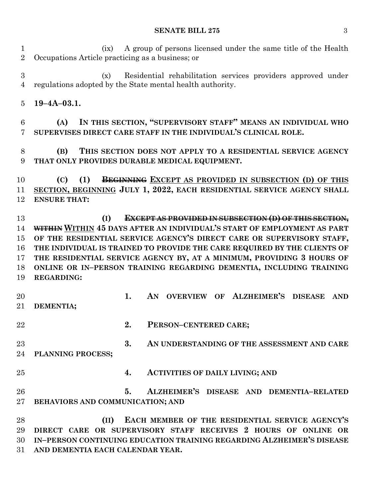#### **SENATE BILL 275** 3

 (ix) A group of persons licensed under the same title of the Health Occupations Article practicing as a business; or

 (x) Residential rehabilitation services providers approved under regulations adopted by the State mental health authority.

**19–4A–03.1.**

 **(A) IN THIS SECTION, "SUPERVISORY STAFF" MEANS AN INDIVIDUAL WHO SUPERVISES DIRECT CARE STAFF IN THE INDIVIDUAL'S CLINICAL ROLE.**

 **(B) THIS SECTION DOES NOT APPLY TO A RESIDENTIAL SERVICE AGENCY THAT ONLY PROVIDES DURABLE MEDICAL EQUIPMENT.**

 **(C) (1) BEGINNING EXCEPT AS PROVIDED IN SUBSECTION (D) OF THIS SECTION, BEGINNING JULY 1, 2022, EACH RESIDENTIAL SERVICE AGENCY SHALL ENSURE THAT:**

 **(I) EXCEPT AS PROVIDED IN SUBSECTION (D) OF THIS SECTION, WITHIN WITHIN 45 DAYS AFTER AN INDIVIDUAL'S START OF EMPLOYMENT AS PART OF THE RESIDENTIAL SERVICE AGENCY'S DIRECT CARE OR SUPERVISORY STAFF, THE INDIVIDUAL IS TRAINED TO PROVIDE THE CARE REQUIRED BY THE CLIENTS OF THE RESIDENTIAL SERVICE AGENCY BY, AT A MINIMUM, PROVIDING 3 HOURS OF ONLINE OR IN–PERSON TRAINING REGARDING DEMENTIA, INCLUDING TRAINING REGARDING:**

 **1. AN OVERVIEW OF ALZHEIMER'S DISEASE AND DEMENTIA;**

- **2. PERSON–CENTERED CARE;**
- **3. AN UNDERSTANDING OF THE ASSESSMENT AND CARE PLANNING PROCESS;**
- **4. ACTIVITIES OF DAILY LIVING; AND**
- **5. ALZHEIMER'S DISEASE AND DEMENTIA–RELATED BEHAVIORS AND COMMUNICATION; AND**

 **(II) EACH MEMBER OF THE RESIDENTIAL SERVICE AGENCY'S DIRECT CARE OR SUPERVISORY STAFF RECEIVES 2 HOURS OF ONLINE OR IN–PERSON CONTINUING EDUCATION TRAINING REGARDING ALZHEIMER'S DISEASE AND DEMENTIA EACH CALENDAR YEAR.**